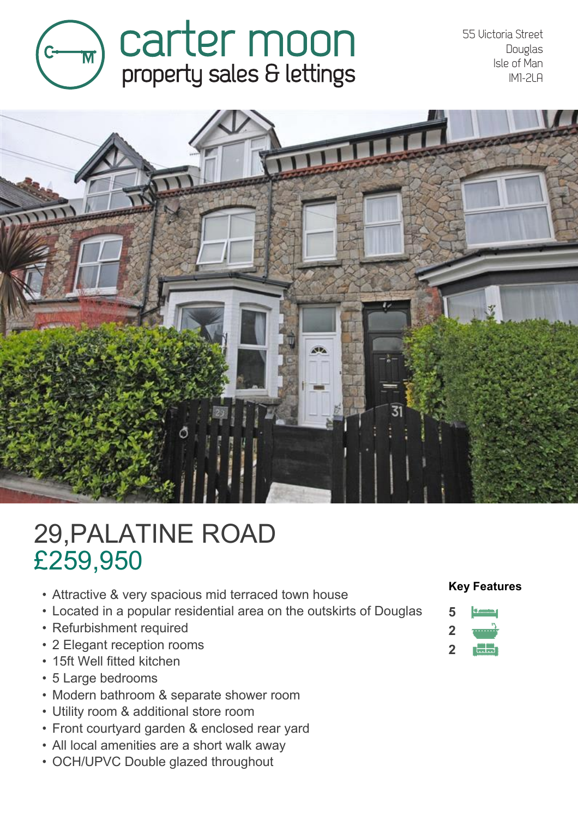

# Carter moon

55 Victoria Street Douglas Isle of Man IM1-2LA



### 29,PALATINE ROAD £259,950

- Attractive & very spacious mid terraced town house
- Located in a popular residential area on the outskirts of Douglas
- Refurbishment required
- 2 Elegant reception rooms
- 15ft Well fitted kitchen
- 5 Large bedrooms
- Modern bathroom & separate shower room
- Utility room & additional store room
- Front courtyard garden & enclosed rear yard
- All local amenities are a short walk away
- OCH/UPVC Double glazed throughout

#### **Key Features**

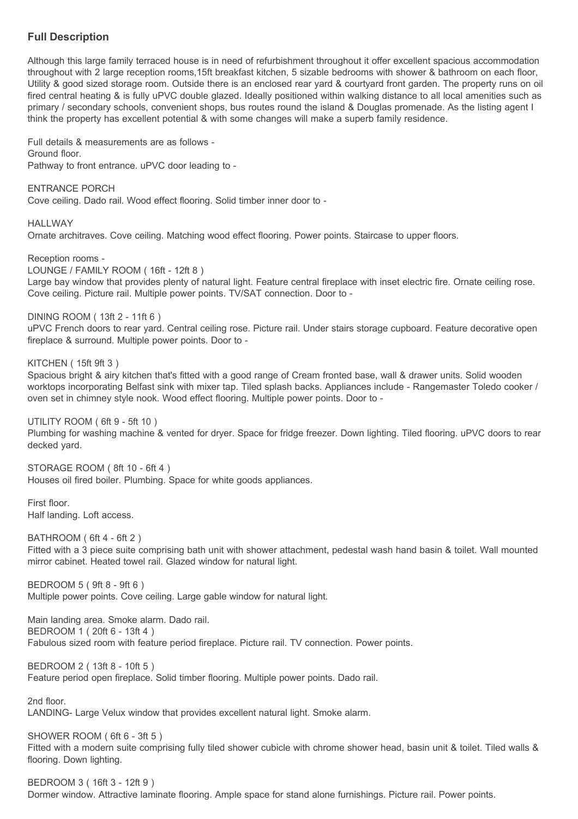#### **Full Description**

Although this large family terraced house is in need of refurbishment throughout it offer excellent spacious accommodation throughout with 2 large reception rooms,15ft breakfast kitchen, 5 sizable bedrooms with shower & bathroom on each floor, Utility & good sized storage room. Outside there is an enclosed rear yard & courtyard front garden. The property runs on oil fired central heating & is fully uPVC double glazed. Ideally positioned within walking distance to all local amenities such as primary / secondary schools, convenient shops, bus routes round the island & Douglas promenade. As the listing agent I think the property has excellent potential & with some changes will make a superb family residence.

Full details & measurements are as follows - Ground floor. Pathway to front entrance. uPVC door leading to -

ENTRANCE PORCH Cove ceiling. Dado rail. Wood effect flooring. Solid timber inner door to -

HALLWAY Ornate architraves. Cove ceiling. Matching wood effect flooring. Power points. Staircase to upper floors.

Reception rooms - LOUNGE / FAMILY ROOM ( 16ft - 12ft 8 ) Large bay window that provides plenty of natural light. Feature central fireplace with inset electric fire. Ornate ceiling rose. Cove ceiling. Picture rail. Multiple power points. TV/SAT connection. Door to -

DINING ROOM ( 13ft 2 - 11ft 6 )

uPVC French doors to rear yard. Central ceiling rose. Picture rail. Under stairs storage cupboard. Feature decorative open fireplace & surround. Multiple power points. Door to -

KITCHEN ( 15ft 9ft 3 )

Spacious bright & airy kitchen that's fitted with a good range of Cream fronted base, wall & drawer units. Solid wooden worktops incorporating Belfast sink with mixer tap. Tiled splash backs. Appliances include - Rangemaster Toledo cooker / oven set in chimney style nook. Wood effect flooring. Multiple power points. Door to -

UTILITY ROOM ( 6ft 9 - 5ft 10 ) Plumbing for washing machine & vented for dryer. Space for fridge freezer. Down lighting. Tiled flooring. uPVC doors to rear decked yard.

STORAGE ROOM ( 8ft 10 - 6ft 4 ) Houses oil fired boiler. Plumbing. Space for white goods appliances.

First floor. Half landing. Loft access.

BATHROOM ( 6ft 4 - 6ft 2 )

Fitted with a 3 piece suite comprising bath unit with shower attachment, pedestal wash hand basin & toilet. Wall mounted mirror cabinet. Heated towel rail. Glazed window for natural light.

BEDROOM 5 ( 9ft 8 - 9ft 6 ) Multiple power points. Cove ceiling. Large gable window for natural light.

Main landing area. Smoke alarm. Dado rail. BEDROOM 1 ( 20ft 6 - 13ft 4 ) Fabulous sized room with feature period fireplace. Picture rail. TV connection. Power points.

BEDROOM 2 ( 13ft 8 - 10ft 5 )

Feature period open fireplace. Solid timber flooring. Multiple power points. Dado rail.

2nd floor.

LANDING- Large Velux window that provides excellent natural light. Smoke alarm.

SHOWER ROOM ( 6ft 6 - 3ft 5 )

Fitted with a modern suite comprising fully tiled shower cubicle with chrome shower head, basin unit & toilet. Tiled walls & flooring. Down lighting.

BEDROOM 3 ( 16ft 3 - 12ft 9 ) Dormer window. Attractive laminate flooring. Ample space for stand alone furnishings. Picture rail. Power points.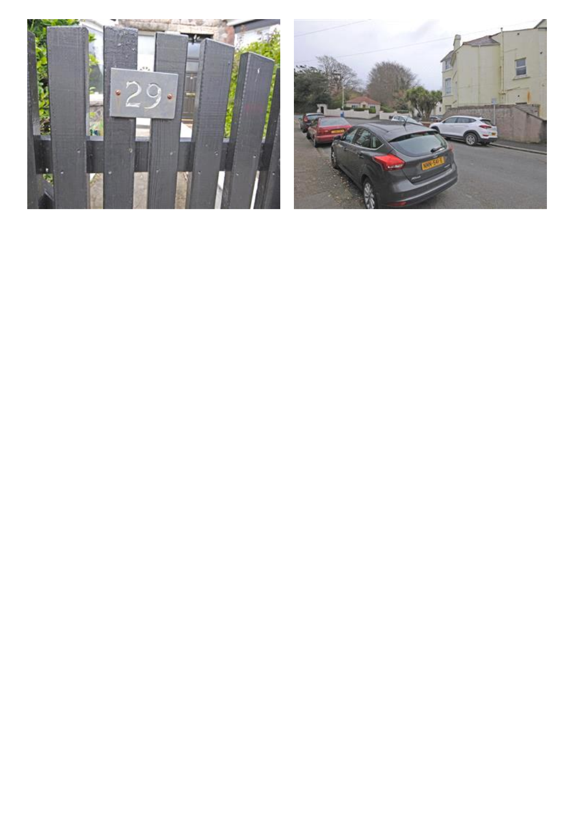